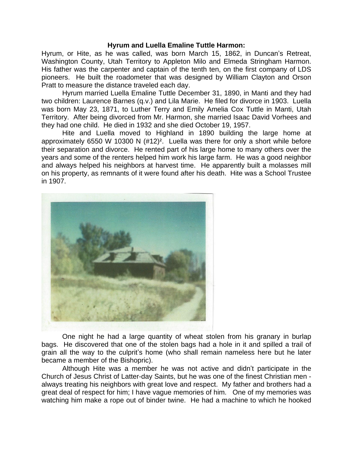## **Hyrum and Luella Emaline Tuttle Harmon:**

Hyrum, or Hite, as he was called, was born March 15, 1862, in Duncan's Retreat, Washington County, Utah Territory to Appleton Milo and Elmeda Stringham Harmon. His father was the carpenter and captain of the tenth ten, on the first company of LDS pioneers. He built the roadometer that was designed by William Clayton and Orson Pratt to measure the distance traveled each day.

Hyrum married Luella Emaline Tuttle December 31, 1890, in Manti and they had two children: Laurence Barnes (q.v.) and Lila Marie. He filed for divorce in 1903. Luella was born May 23, 1871, to Luther Terry and Emily Amelia Cox Tuttle in Manti, Utah Territory. After being divorced from Mr. Harmon, she married Isaac David Vorhees and they had one child. He died in 1932 and she died October 19, 1957.

Hite and Luella moved to Highland in 1890 building the large home at approximately 6550 W 10300 N (#12)². Luella was there for only a short while before their separation and divorce. He rented part of his large home to many others over the years and some of the renters helped him work his large farm. He was a good neighbor and always helped his neighbors at harvest time. He apparently built a molasses mill on his property, as remnants of it were found after his death. Hite was a School Trustee in 1907.



One night he had a large quantity of wheat stolen from his granary in burlap bags. He discovered that one of the stolen bags had a hole in it and spilled a trail of grain all the way to the culprit's home (who shall remain nameless here but he later became a member of the Bishopric).

Although Hite was a member he was not active and didn't participate in the Church of Jesus Christ of Latter-day Saints, but he was one of the finest Christian men always treating his neighbors with great love and respect. My father and brothers had a great deal of respect for him; I have vague memories of him. One of my memories was watching him make a rope out of binder twine. He had a machine to which he hooked